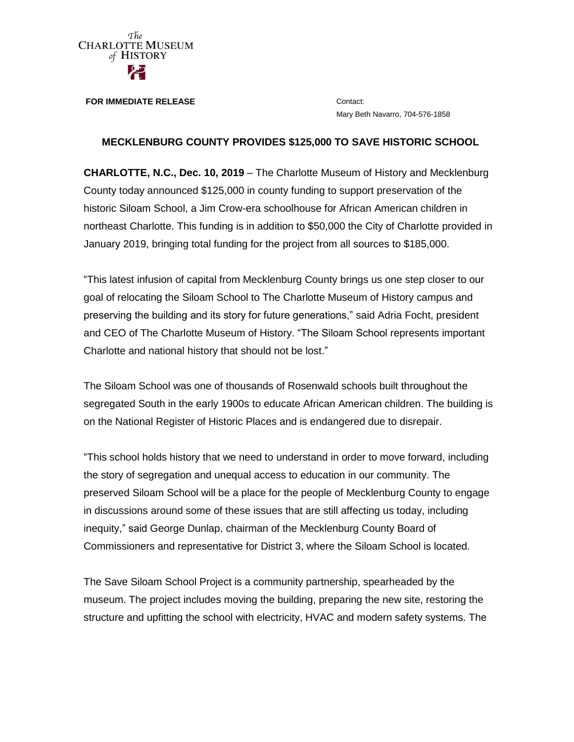

**FOR IMMEDIATE RELEASE CONTACT:** Contact:

Mary Beth Navarro, 704-576-1858

## **MECKLENBURG COUNTY PROVIDES \$125,000 TO SAVE HISTORIC SCHOOL**

**CHARLOTTE, N.C., Dec. 10, 2019** – The Charlotte Museum of History and Mecklenburg County today announced \$125,000 in county funding to support preservation of the historic Siloam School, a Jim Crow-era schoolhouse for African American children in northeast Charlotte. This funding is in addition to \$50,000 the City of Charlotte provided in January 2019, bringing total funding for the project from all sources to \$185,000.

"This latest infusion of capital from Mecklenburg County brings us one step closer to our goal of relocating the Siloam School to The Charlotte Museum of History campus and preserving the building and its story for future generations," said Adria Focht, president and CEO of The Charlotte Museum of History. "The Siloam School represents important Charlotte and national history that should not be lost."

The Siloam School was one of thousands of Rosenwald schools built throughout the segregated South in the early 1900s to educate African American children. The building is on the National Register of Historic Places and is endangered due to disrepair.

"This school holds history that we need to understand in order to move forward, including the story of segregation and unequal access to education in our community. The preserved Siloam School will be a place for the people of Mecklenburg County to engage in discussions around some of these issues that are still affecting us today, including inequity," said George Dunlap, chairman of the Mecklenburg County Board of Commissioners and representative for District 3, where the Siloam School is located.

The Save Siloam School Project is a community partnership, spearheaded by the museum. The project includes moving the building, preparing the new site, restoring the structure and upfitting the school with electricity, HVAC and modern safety systems. The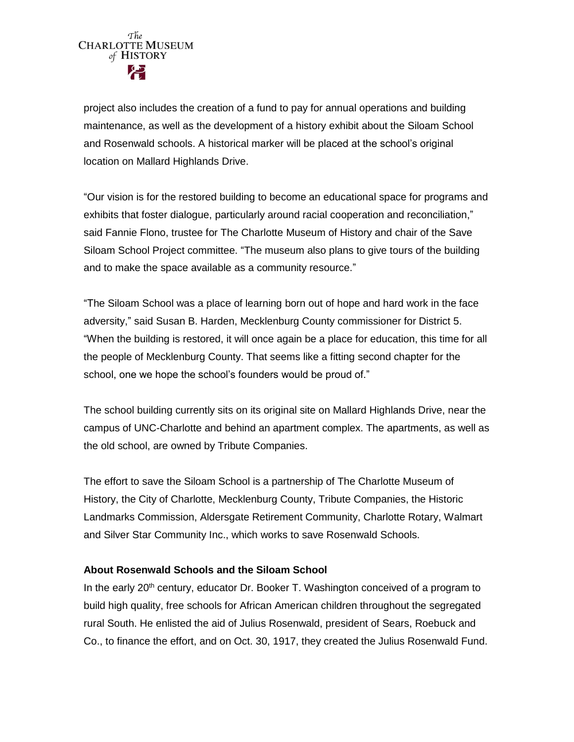

project also includes the creation of a fund to pay for annual operations and building maintenance, as well as the development of a history exhibit about the Siloam School and Rosenwald schools. A historical marker will be placed at the school's original location on Mallard Highlands Drive.

"Our vision is for the restored building to become an educational space for programs and exhibits that foster dialogue, particularly around racial cooperation and reconciliation," said Fannie Flono, trustee for The Charlotte Museum of History and chair of the Save Siloam School Project committee. "The museum also plans to give tours of the building and to make the space available as a community resource."

"The Siloam School was a place of learning born out of hope and hard work in the face adversity," said Susan B. Harden, Mecklenburg County commissioner for District 5. "When the building is restored, it will once again be a place for education, this time for all the people of Mecklenburg County. That seems like a fitting second chapter for the school, one we hope the school's founders would be proud of."

The school building currently sits on its original site on Mallard Highlands Drive, near the campus of UNC-Charlotte and behind an apartment complex. The apartments, as well as the old school, are owned by Tribute Companies.

The effort to save the Siloam School is a partnership of The Charlotte Museum of History, the City of Charlotte, Mecklenburg County, Tribute Companies, the Historic Landmarks Commission, Aldersgate Retirement Community, Charlotte Rotary, Walmart and Silver Star Community Inc., which works to save Rosenwald Schools.

## **About Rosenwald Schools and the Siloam School**

In the early 20<sup>th</sup> century, educator Dr. Booker T. Washington conceived of a program to build high quality, free schools for African American children throughout the segregated rural South. He enlisted the aid of Julius Rosenwald, president of Sears, Roebuck and Co., to finance the effort, and on Oct. 30, 1917, they created the Julius Rosenwald Fund.